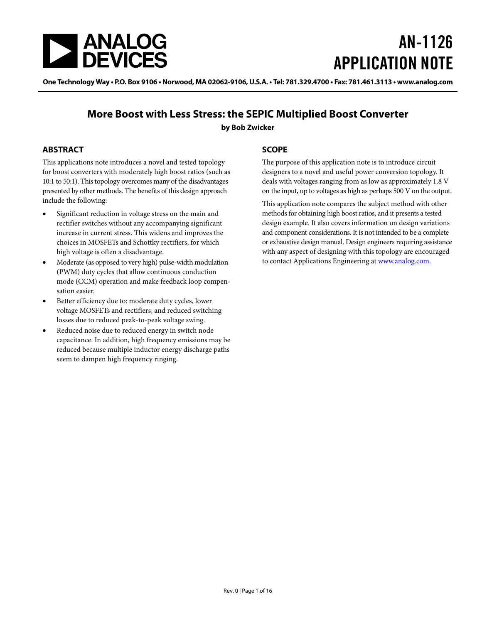

# AN-1126 APPLICATION NOTE

One Technology Way • P.O. Box 9106 • Norwood, MA 02062-9106, U.S.A. • Tel: 781.329.4700 • Fax: 781.461.3113 • www.analog.com

## **More Boost with Less Stress: the SEPIC Multiplied Boost Converter**

**by Bob Zwicker**

### <span id="page-0-0"></span>**ABSTRACT**

This applications note introduces a novel and tested topology for boost converters with moderately high boost ratios (such as 10:1 to 50:1). This topology overcomes many of the disadvantages presented by other methods. The benefits of this design approach include the following:

- Significant reduction in voltage stress on the main and rectifier switches without any accompanying significant increase in current stress. This widens and improves the choices in MOSFETs and Schottky rectifiers, for which high voltage is often a disadvantage.
- Moderate (as opposed to very high) pulse-width modulation (PWM) duty cycles that allow continuous conduction mode (CCM) operation and make feedback loop compensation easier.
- Better efficiency due to: moderate duty cycles, lower voltage MOSFETs and rectifiers, and reduced switching losses due to reduced peak-to-peak voltage swing.
- Reduced noise due to reduced energy in switch node capacitance. In addition, high frequency emissions may be reduced because multiple inductor energy discharge paths seem to dampen high frequency ringing.

### <span id="page-0-1"></span>**SCOPE**

The purpose of this application note is to introduce circuit designers to a novel and useful power conversion topology. It deals with voltages ranging from as low as approximately 1.8 V on the input, up to voltages as high as perhaps 500 V on the output.

This application note compares the subject method with other methods for obtaining high boost ratios, and it presents a tested design example. It also covers information on design variations and component considerations. It is not intended to be a complete or exhaustive design manual. Design engineers requiring assistance with any aspect of designing with this topology are encouraged to contact Applications Engineering a[t www.analog.com.](http://www.analog.com/)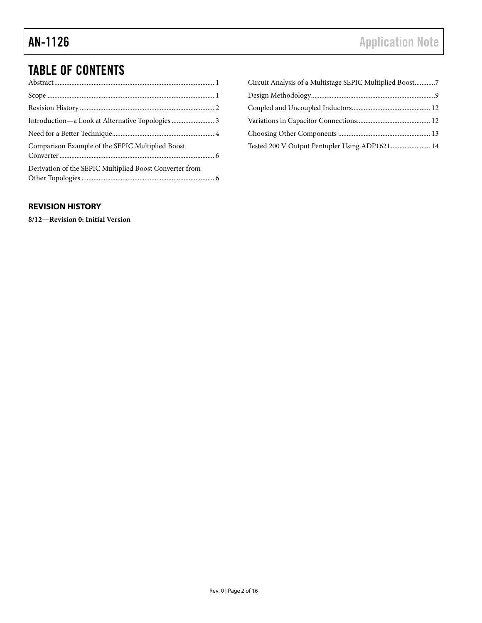## TABLE OF CONTENTS

| Comparison Example of the SEPIC Multiplied Boost        |  |
|---------------------------------------------------------|--|
| Derivation of the SEPIC Multiplied Boost Converter from |  |

| Circuit Analysis of a Multistage SEPIC Multiplied Boost7 |  |
|----------------------------------------------------------|--|
|                                                          |  |
|                                                          |  |
|                                                          |  |
|                                                          |  |
| Tested 200 V Output Pentupler Using ADP1621  14          |  |

#### <span id="page-1-0"></span>**REVISION HISTORY**

**8/12―Revision 0: Initial Version**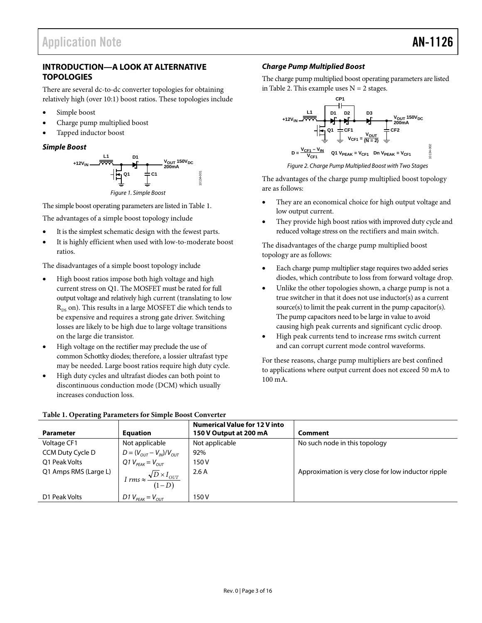#### <span id="page-2-0"></span>**INTRODUCTION—A LOOK AT ALTERNATIVE TOPOLOGIES**

There are several dc-to-dc converter topologies for obtaining relatively high (over 10:1) boost ratios. These topologies include

- Simple boost
- Charge pump multiplied boost
- Tapped inductor boost

#### *Simple Boost*



The simple boost operating parameters are listed i[n Table 1.](#page-2-1)

The advantages of a simple boost topology include

- It is the simplest schematic design with the fewest parts.
- It is highly efficient when used with low-to-moderate boost ratios.

The disadvantages of a simple boost topology include

- High boost ratios impose both high voltage and high current stress on Q1. The MOSFET must be rated for full output voltage and relatively high current (translating to low  $R_{DS}$  on). This results in a large MOSFET die which tends to be expensive and requires a strong gate driver. Switching losses are likely to be high due to large voltage transitions on the large die transistor.
- High voltage on the rectifier may preclude the use of common Schottky diodes; therefore, a lossier ultrafast type may be needed. Large boost ratios require high duty cycle.
- High duty cycles and ultrafast diodes can both point to discontinuous conduction mode (DCM) which usually increases conduction loss.

#### *Charge Pump Multiplied Boost*

The charge pump multiplied boost operating parameters are listed i[n Table 2.](#page-3-1) This example uses  $N = 2$  stages.



*Figure 2. Charge Pump Multiplied Boost with Two Stages*

The advantages of the charge pump multiplied boost topology are as follows:

- They are an economical choice for high output voltage and low output current.
- They provide high boost ratios with improved duty cycle and reduced voltage stress on the rectifiers and main switch.

The disadvantages of the charge pump multiplied boost topology are as follows:

- Each charge pump multiplier stage requires two added series diodes, which contribute to loss from forward voltage drop.
- Unlike the other topologies shown, a charge pump is not a true switcher in that it does not use inductor(s) as a current source(s) to limit the peak current in the pump capacitor(s). The pump capacitors need to be large in value to avoid causing high peak currents and significant cyclic droop.
- High peak currents tend to increase rms switch current and can corrupt current mode control waveforms.

For these reasons, charge pump multipliers are best confined to applications where output current does not exceed 50 mA to 100 mA.

| <b>Parameter</b>      | <b>Equation</b>                                       | <b>Numerical Value for 12 V into</b><br>150 V Output at 200 mA | Comment                                             |
|-----------------------|-------------------------------------------------------|----------------------------------------------------------------|-----------------------------------------------------|
| Voltage CF1           | Not applicable                                        | Not applicable                                                 | No such node in this topology                       |
| CCM Duty Cycle D      | $D = (V_{OUT} - V_{IN})/V_{OUT}$                      | 92%                                                            |                                                     |
| O1 Peak Volts         | Q1 $V_{PFAK} = V_{OUT}$                               | 150V                                                           |                                                     |
| Q1 Amps RMS (Large L) |                                                       | 2.6A                                                           | Approximation is very close for low inductor ripple |
|                       | I rms $\approx \frac{\sqrt{D} \times I_{OUT}}{(1-D)}$ |                                                                |                                                     |
| D1 Peak Volts         | D1 $V_{PFAK} = V_{OUT}$                               | 150 V                                                          |                                                     |

#### <span id="page-2-1"></span>**Table 1. Operating Parameters for Simple Boost Converter**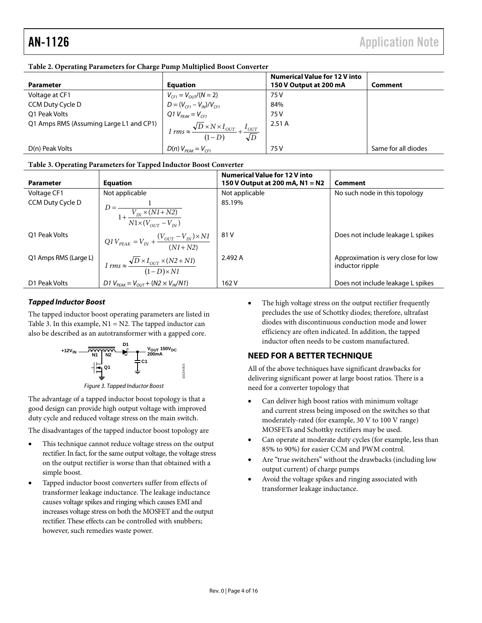|                                         |                                                                                            | <b>Numerical Value for 12 V into</b> |                     |
|-----------------------------------------|--------------------------------------------------------------------------------------------|--------------------------------------|---------------------|
| Parameter                               | <b>Equation</b>                                                                            | 150 V Output at 200 mA               | Comment             |
| Voltage at CF1                          |                                                                                            | 75 V                                 |                     |
| CCM Duty Cycle D                        | $V_{CF1} = V_{OUT}/(N = 2)$<br>$D = (V_{CF1} - V_{IN})/V_{CF1}$<br>Q1 $V_{PEAK} = V_{CF1}$ | 84%                                  |                     |
| O1 Peak Volts                           |                                                                                            | 75 V                                 |                     |
| Q1 Amps RMS (Assuming Large L1 and CP1) | $I rms \approx \frac{\sqrt{D} \times N \times I_{OUT}}{(1-D)} + \frac{I_{OUT}}{\sqrt{D}}$  | 2.51A                                |                     |
| D(n) Peak Volts                         | $D(n)$ $V_{PFAK} = V_{CF1}$                                                                | 75 V                                 | Same for all diodes |

#### <span id="page-3-1"></span>**Table 2. Operating Parameters for Charge Pump Multiplied Boost Converter**

#### <span id="page-3-2"></span>**Table 3. Operating Parameters for Tapped Inductor Boost Converter**

| <b>Parameter</b>      | <b>Equation</b>                                                                                                         | <b>Numerical Value for 12 V into</b><br>150 V Output at 200 mA, N1 = N2 | Comment                                                |
|-----------------------|-------------------------------------------------------------------------------------------------------------------------|-------------------------------------------------------------------------|--------------------------------------------------------|
| Voltage CF1           | Not applicable                                                                                                          | Not applicable                                                          | No such node in this topology                          |
| CCM Duty Cycle D      | $D = \frac{1}{1 + \frac{V_{IN} \times (NI + N2)}{1 + \frac{V_{IN} \times (NI + N2)}}$<br>$N1 \times (V_{OUT} - V_{IN})$ | 85.19%                                                                  |                                                        |
| O1 Peak Volts         | $QIV_{PEAK} = V_{IN} + \frac{(V_{OUT} - V_{IN}) \times NI}{(N1 + N2)}$                                                  | 81 V                                                                    | Does not include leakage L spikes                      |
| Q1 Amps RMS (Large L) | $I rms \approx \frac{\sqrt{D} \times I_{OUT} \times (N2 + N1)}{(1 - D) \times N1}$                                      | 2.492 A                                                                 | Approximation is very close for low<br>inductor ripple |
| D1 Peak Volts         | D1 $V_{PEAK} = V_{OUT} + (N2 \times V_{IN}/N1)$                                                                         | 162 V                                                                   | Does not include leakage L spikes                      |

#### *Tapped Inductor Boost*

The tapped inductor boost operating parameters are listed in [Table 3.](#page-3-2) In this example,  $N1 = N2$ . The tapped inductor can also be described as an autotransformer with a gapped core.



*Figure 3. Tapped Inductor Boost*

The advantage of a tapped inductor boost topology is that a good design can provide high output voltage with improved duty cycle and reduced voltage stress on the main switch.

The disadvantages of the tapped inductor boost topology are

- This technique cannot reduce voltage stress on the output rectifier. In fact, for the same output voltage, the voltage stress on the output rectifier is worse than that obtained with a simple boost.
- Tapped inductor boost converters suffer from effects of transformer leakage inductance. The leakage inductance causes voltage spikes and ringing which causes EMI and increases voltage stress on both the MOSFET and the output rectifier. These effects can be controlled with snubbers; however, such remedies waste power.

The high voltage stress on the output rectifier frequently precludes the use of Schottky diodes; therefore, ultrafast diodes with discontinuous conduction mode and lower efficiency are often indicated. In addition, the tapped inductor often needs to be custom manufactured.

#### <span id="page-3-0"></span>**NEED FOR A BETTER TECHNIQUE**

All of the above techniques have significant drawbacks for delivering significant power at large boost ratios. There is a need for a converter topology that

- Can deliver high boost ratios with minimum voltage and current stress being imposed on the switches so that moderately-rated (for example, 30 V to 100 V range) MOSFETs and Schottky rectifiers may be used.
- Can operate at moderate duty cycles (for example, less than 85% to 90%) for easier CCM and PWM control.
- Are "true switchers" without the drawbacks (including low output current) of charge pumps
- Avoid the voltage spikes and ringing associated with transformer leakage inductance.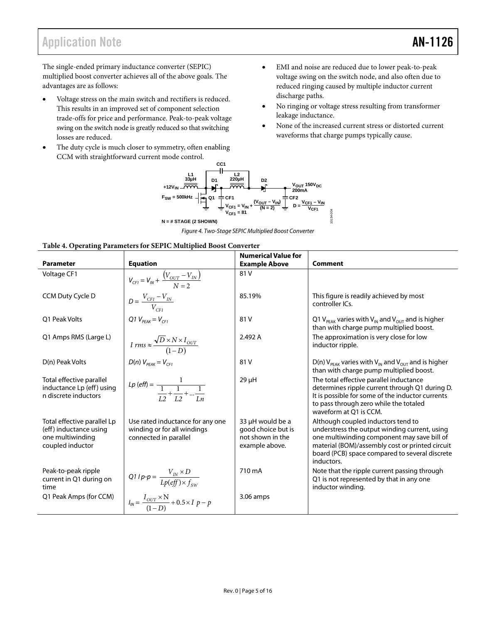## Application Note **AN-1126**

The single-ended primary inductance converter (SEPIC) multiplied boost converter achieves all of the above goals. The advantages are as follows:

- Voltage stress on the main switch and rectifiers is reduced. This results in an improved set of component selection trade-offs for price and performance. Peak-to-peak voltage swing on the switch node is greatly reduced so that switching losses are reduced.
- The duty cycle is much closer to symmetry, often enabling CCM with straightforward current mode control.
- EMI and noise are reduced due to lower peak-to-peak voltage swing on the switch node, and also often due to reduced ringing caused by multiple inductor current discharge paths.
- No ringing or voltage stress resulting from transformer leakage inductance.
- None of the increased current stress or distorted current waveforms that charge pumps typically cause.



*Figure 4. Two-Stage SEPIC Multiplied Boost Converter*

<span id="page-4-0"></span>

|                                                                                               |                                                                                          | <b>Numerical Value for</b>                                                   |                                                                                                                                                                                                                                                       |
|-----------------------------------------------------------------------------------------------|------------------------------------------------------------------------------------------|------------------------------------------------------------------------------|-------------------------------------------------------------------------------------------------------------------------------------------------------------------------------------------------------------------------------------------------------|
| <b>Parameter</b>                                                                              | <b>Equation</b>                                                                          | <b>Example Above</b>                                                         | <b>Comment</b>                                                                                                                                                                                                                                        |
| Voltage CF1                                                                                   | $V_{CF1} = V_{IN} + \frac{(V_{OUT} - V_{IN})}{N = 2}$                                    | 81 V                                                                         |                                                                                                                                                                                                                                                       |
| CCM Duty Cycle D                                                                              | $D = \frac{V_{CFI} - V_{IN}}{V_{CFI}}$                                                   | 85.19%                                                                       | This figure is readily achieved by most<br>controller ICs.                                                                                                                                                                                            |
| O1 Peak Volts                                                                                 | Q1 $V_{PEAK} = V_{CF1}$                                                                  | 81 V                                                                         | Q1 V <sub>PEAK</sub> varies with V <sub>IN</sub> and V <sub>OUT</sub> and is higher<br>than with charge pump multiplied boost.                                                                                                                        |
| Q1 Amps RMS (Large L)                                                                         | I rms $\approx \frac{\sqrt{D} \times N \times I_{OUT}}{(1-D)}$                           | 2.492 A                                                                      | The approximation is very close for low<br>inductor ripple.                                                                                                                                                                                           |
| D(n) Peak Volts                                                                               | $D(n)$ $V_{PEAK} = V_{CF1}$                                                              | 81 V                                                                         | D(n) $V_{\text{peak}}$ varies with $V_{\text{IN}}$ and $V_{\text{OUT}}$ and is higher<br>than with charge pump multiplied boost.                                                                                                                      |
| Total effective parallel<br>inductance Lp (eff) using<br>n discrete inductors                 | Lp (eff) = $\frac{1}{\frac{1}{I_2} + \frac{1}{I_2} +  + \frac{1}{I_n}}$                  | $29 \mu H$                                                                   | The total effective parallel inductance<br>determines ripple current through Q1 during D.<br>It is possible for some of the inductor currents<br>to pass through zero while the totaled<br>waveform at O1 is CCM.                                     |
| Total effective parallel Lp<br>(eff) inductance using<br>one multiwinding<br>coupled inductor | Use rated inductance for any one<br>winding or for all windings<br>connected in parallel | 33 µH would be a<br>good choice but is<br>not shown in the<br>example above. | Although coupled inductors tend to<br>understress the output winding current, using<br>one multiwinding component may save bill of<br>material (BOM)/assembly cost or printed circuit<br>board (PCB) space compared to several discrete<br>inductors. |
| Peak-to-peak ripple<br>current in Q1 during on<br>time                                        | Q1 I p-p = $\frac{V_{IN} \times D}{Lp(eff) \times f_{cur}}$                              | 710 mA                                                                       | Note that the ripple current passing through<br>Q1 is not represented by that in any one<br>inductor winding.                                                                                                                                         |
| Q1 Peak Amps (for CCM)                                                                        | $I_{IN} = \frac{I_{OUT} \times N}{(1-D)} + 0.5 \times I_{P} - p$                         | 3.06 amps                                                                    |                                                                                                                                                                                                                                                       |

#### **Table 4. Operating Parameters for SEPIC Multiplied Boost Converter**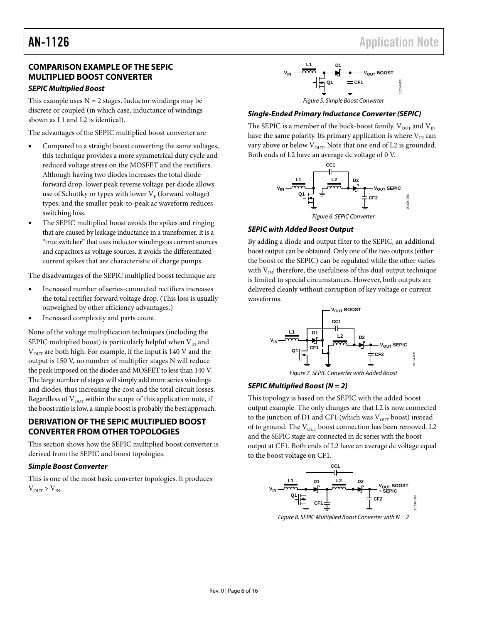## AN-1126 Application Note

### **COMPARISON EXAMPLE OF THE SEPIC MULTIPLIED BOOST CONVERTER**

#### *SEPIC Multiplied Boost*

This example uses  $N = 2$  stages. Inductor windings may be discrete or coupled (in which case, inductance of windings shown as L1 and L2 is identical).

The advantages of the SEPIC multiplied boost converter are

- Compared to a straight boost converting the same voltages, this technique provides a more symmetrical duty cycle and reduced voltage stress on the MOSFET and the rectifiers. Although having two diodes increases the total diode forward drop, lower peak reverse voltage per diode allows use of Schottky or types with lower  $V_F$  (forward voltage) types, and the smaller peak-to-peak ac waveform reduces switching loss.
- The SEPIC multiplied boost avoids the spikes and ringing that are caused by leakage inductance in a transformer. It is a "true switcher" that uses inductor windings as current sources and capacitors as voltage sources. It avoids the differentiated current spikes that are characteristic of charge pumps.

The disadvantages of the SEPIC multiplied boost technique are

- Increased number of series-connected rectifiers increases the total rectifier forward voltage drop. (This loss is usually outweighed by other efficiency advantages.)
- Increased complexity and parts count.

None of the voltage multiplication techniques (including the SEPIC multiplied boost) is particularly helpful when  $V_{IN}$  and  $V<sub>OUT</sub>$  are both high. For example, if the input is 140 V and the output is 150 V, no number of multiplier stages N will reduce the peak imposed on the diodes and MOSFET to less than 140 V. The large number of stages will simply add more series windings and diodes, thus increasing the cost and the total circuit losses. Regardless of  $V<sub>OUT</sub>$  within the scope of this application note, if the boost ratio is low, a simple boost is probably the best approach.

#### <span id="page-5-0"></span>**DERIVATION OF THE SEPIC MULTIPLIED BOOST CONVERTER FROM OTHER TOPOLOGIES**

This section shows how the SEPIC multiplied boost converter is derived from the SEPIC and boost topologies.

#### *Simple Boost Converter*

This is one of the most basic converter topologies. It produces  $V_{\text{OUT}} > V_{\text{IN}}$ .



#### *Single-Ended Primary Inductance Converter (SEPIC)*

The SEPIC is a member of the buck-boost family.  $V_{\text{OUT}}$  and  $V_{\text{IN}}$ have the same polarity. Its primary application is where  $V_{IN}$  can vary above or below  $V<sub>OUT</sub>$ . Note that one end of L2 is grounded. Both ends of L2 have an average dc voltage of 0 V.



#### *SEPIC with Added Boost Output*

By adding a diode and output filter to the SEPIC, an additional boost output can be obtained. Only one of the two outputs (either the boost or the SEPIC) can be regulated while the other varies with  $V_{\text{IN}}$ ; therefore, the usefulness of this dual output technique is limited to special circumstances. However, both outputs are delivered cleanly without corruption of key voltage or current waveforms.



#### *SEPIC Multiplied Boost (N = 2)*

This topology is based on the SEPIC with the added boost output example. The only changes are that L2 is now connected to the junction of D1 and CF1 (which was  $V_{\text{OUT}}$  boost) instead of to ground. The  $V<sub>OUT</sub>$  boost connection has been removed. L2 and the SEPIC stage are connected in dc series with the boost output at CF1. Both ends of L2 have an average dc voltage equal to the boost voltage on CF1.



*Figure 8. SEPIC Multiplied Boost Converter with N = 2*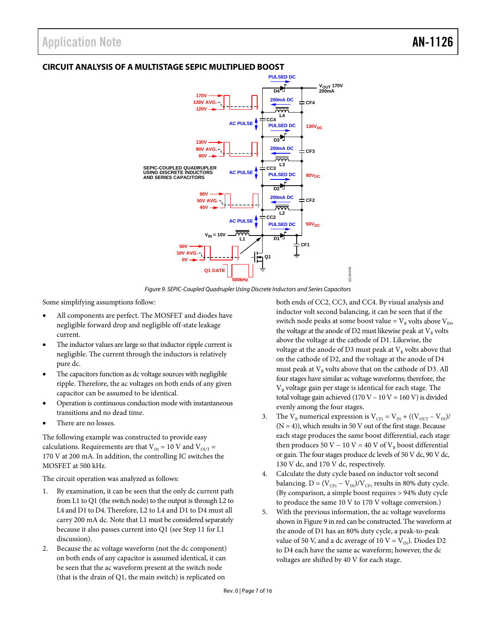### <span id="page-6-0"></span>**CIRCUIT ANALYSIS OF A MULTISTAGE SEPIC MULTIPLIED BOOST**



*Figure 9. SEPIC-Coupled Quadrupler Using Discrete Inductors and Series Capacitors*

<span id="page-6-1"></span>Some simplifying assumptions follow:

- All components are perfect. The MOSFET and diodes have negligible forward drop and negligible off-state leakage current.
- The inductor values are large so that inductor ripple current is negligible. The current through the inductors is relatively pure dc.
- The capacitors function as dc voltage sources with negligible ripple. Therefore, the ac voltages on both ends of any given capacitor can be assumed to be identical.
- Operation is continuous conduction mode with instantaneous transitions and no dead time.
- There are no losses.

The following example was constructed to provide easy calculations. Requirements are that  $V_{IN} = 10$  V and  $V_{OUT} =$ 170 V at 200 mA. In addition, the controlling IC switches the MOSFET at 500 kHz.

The circuit operation was analyzed as follows:

- 1. By examination, it can be seen that the only dc current path from L1 to Q1 (the switch node) to the output is through L2 to L4 and D1 to D4. Therefore, L2 to L4 and D1 to D4 must all carry 200 mA dc. Note that L1 must be considered separately because it also passes current into Q1 (see Step 11 for L1 discussion).
- 2. Because the ac voltage waveform (not the dc component) on both ends of any capacitor is assumed identical, it can be seen that the ac waveform present at the switch node (that is the drain of Q1, the main switch) is replicated on

both ends of CC2, CC3, and CC4. By visual analysis and inductor volt second balancing, it can be seen that if the switch node peaks at some boost value =  $V_B$  volts above  $V_{IN}$ , the voltage at the anode of D2 must likewise peak at  $V_B$  volts above the voltage at the cathode of D1. Likewise, the voltage at the anode of D3 must peak at  $V_B$  volts above that on the cathode of D2, and the voltage at the anode of D4 must peak at  $V_B$  volts above that on the cathode of D3. All four stages have similar ac voltage waveforms; therefore, the  $V<sub>B</sub>$  voltage gain per stage is identical for each stage. The total voltage gain achieved (170 V – 10 V = 160 V) is divided evenly among the four stages.

- 3. The  $V_B$  numerical expression is  $V_{\text{CFI}} = V_{\text{IN}} + ((V_{\text{OUT}} V_{\text{IN}}))$  $(N = 4)$ ), which results in 50 V out of the first stage. Because each stage produces the same boost differential, each stage then produces 50 V – 10 V = 40 V of  $V_B$  boost differential or gain. The four stages produce dc levels of 50 V dc, 90 V dc, 130 V dc, and 170 V dc, respectively.
- 4. Calculate the duty cycle based on inductor volt second balancing. D =  $(V_{\text{CF1}} - V_{\text{IN}})/V_{\text{CF1}}$  results in 80% duty cycle. (By comparison, a simple boost requires > 94% duty cycle to produce the same 10 V to 170 V voltage conversion.)
- 5. With the previous information, the ac voltage waveforms shown i[n Figure 9](#page-6-1) in red can be constructed. The waveform at the anode of D1 has an 80% duty cycle, a peak-to-peak value of 50 V, and a dc average of 10 V =  $V_{IN}$ ). Diodes D2 to D4 each have the same ac waveform; however, the dc voltages are shifted by 40 V for each stage.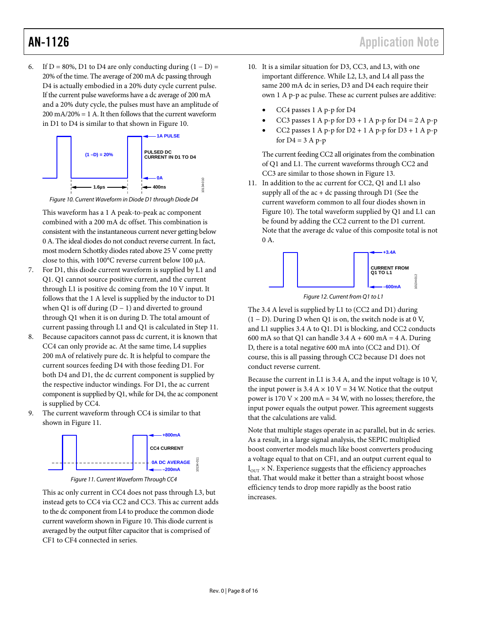6. If D = 80%, D1 to D4 are only conducting during  $(1 - D)$  = 20% of the time. The average of 200 mA dc passing through D4 is actually embodied in a 20% duty cycle current pulse. If the current pulse waveforms have a dc average of 200 mA and a 20% duty cycle, the pulses must have an amplitude of  $200 \text{ mA}/20\% = 1 \text{ A}$ . It then follows that the current waveform in D1 to D4 is similar to that shown in [Figure 10.](#page-7-0)





<span id="page-7-0"></span>This waveform has a 1 A peak-to-peak ac component combined with a 200 mA dc offset. This combination is consistent with the instantaneous current never getting below 0 A. The ideal diodes do not conduct reverse current. In fact, most modern Schottky diodes rated above 25 V come pretty close to this, with 100°C reverse current below 100 µA.

- 7. For D1, this diode current waveform is supplied by L1 and Q1. Q1 cannot source positive current, and the current through L1 is positive dc coming from the 10 V input. It follows that the 1 A level is supplied by the inductor to D1 when Q1 is off during  $(D - 1)$  and diverted to ground through Q1 when it is on during D. The total amount of current passing through L1 and Q1 is calculated in Step 11.
- 8. Because capacitors cannot pass dc current, it is known that CC4 can only provide ac. At the same time, L4 supplies 200 mA of relatively pure dc. It is helpful to compare the current sources feeding D4 with those feeding D1. For both D4 and D1, the dc current component is supplied by the respective inductor windings. For D1, the ac current component is supplied by Q1, while for D4, the ac component is supplied by CC4.
- 9. The current waveform through CC4 is similar to that shown in [Figure 11.](#page-7-1)





<span id="page-7-1"></span>This ac only current in CC4 does not pass through L3, but instead gets to CC4 via CC2 and CC3. This ac current adds to the dc component from L4 to produce the common diode current waveform shown in [Figure 10.](#page-7-0) This diode current is averaged by the output filter capacitor that is comprised of CF1 to CF4 connected in series.

- 10. It is a similar situation for D3, CC3, and L3, with one important difference. While L2, L3, and L4 all pass the same 200 mA dc in series, D3 and D4 each require their own 1 A p-p ac pulse. These ac current pulses are additive:
	- CC4 passes 1 A p-p for D4
	- CC3 passes 1 A p-p for  $D3 + 1$  A p-p for  $D4 = 2$  A p-p
	- CC2 passes  $1$  A p-p for  $D2 + 1$  A p-p for  $D3 + 1$  A p-p for  $D4 = 3$  A p-p

The current feeding CC2 all originates from the combination of Q1 and L1. The current waveforms through CC2 and CC3 are similar to those shown in [Figure 13.](#page-8-1)

11. In addition to the ac current for CC2, Q1 and L1 also supply all of the  $ac + dc$  passing through D1 (See the current waveform common to all four diodes shown in [Figure 10\)](#page-7-0). The total waveform supplied by Q1 and L1 can be found by adding the CC2 current to the D1 current. Note that the average dc value of this composite total is not 0 A.



*Figure 12. Current from Q1 to L1*

The 3.4 A level is supplied by L1 to (CC2 and D1) during (1 − D). During D when Q1 is on, the switch node is at 0 V, and L1 supplies 3.4 A to Q1. D1 is blocking, and CC2 conducts 600 mA so that Q1 can handle  $3.4 A + 600 mA = 4 A$ . During D, there is a total negative 600 mA into (CC2 and D1). Of course, this is all passing through CC2 because D1 does not conduct reverse current.

Because the current in L1 is 3.4 A, and the input voltage is 10 V, the input power is 3.4 A  $\times$  10 V = 34 W. Notice that the output power is  $170$  V  $\times$  200 mA = 34 W, with no losses; therefore, the input power equals the output power. This agreement suggests that the calculations are valid.

Note that multiple stages operate in ac parallel, but in dc series. As a result, in a large signal analysis, the SEPIC multiplied boost converter models much like boost converters producing a voltage equal to that on CF1, and an output current equal to  $I<sub>OUT</sub>$  × N. Experience suggests that the efficiency approaches that. That would make it better than a straight boost whose efficiency tends to drop more rapidly as the boost ratio increases.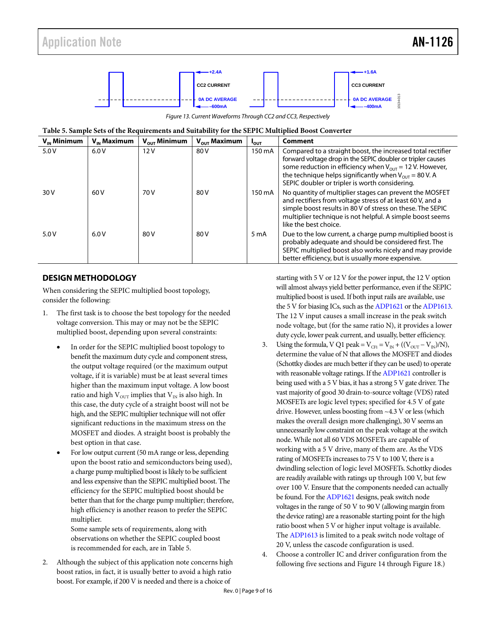

*Figure 13. Current Waveforms Through CC2 and CC3, Respectively*

<span id="page-8-2"></span><span id="page-8-1"></span>

|  |  | Table 5. Sample Sets of the Requirements and Suitability for the SEPIC Multiplied Boost Converter |  |
|--|--|---------------------------------------------------------------------------------------------------|--|
|  |  |                                                                                                   |  |

| $V_{\text{IN}}$ Minimum | $V_{\omega}$ Maximum | $V_{\text{out}}$ Minimum | $V_{\text{out}}$ Maximum | <b>POUT</b> | Comment                                                                                                                                                                                                                                                                                                    |
|-------------------------|----------------------|--------------------------|--------------------------|-------------|------------------------------------------------------------------------------------------------------------------------------------------------------------------------------------------------------------------------------------------------------------------------------------------------------------|
| 5.0V                    | 6.0V                 | 12V                      | 80 V                     | 150 mA      | Compared to a straight boost, the increased total rectifier<br>forward voltage drop in the SEPIC doubler or tripler causes<br>some reduction in efficiency when $V_{OUT}$ = 12 V. However,<br>the technique helps significantly when $V_{OUT}$ = 80 V. A<br>SEPIC doubler or tripler is worth considering. |
| 30 V                    | 60 V                 | 70 V                     | 80 V                     | 150 mA      | No quantity of multiplier stages can prevent the MOSFET<br>and rectifiers from voltage stress of at least 60 V, and a<br>simple boost results in 80 V of stress on these. The SEPIC<br>multiplier technique is not helpful. A simple boost seems<br>like the best choice.                                  |
| 5.0V                    | 6.0V                 | 80 V                     | 80 V                     | 5 mA        | Due to the low current, a charge pump multiplied boost is<br>probably adequate and should be considered first. The<br>SEPIC multiplied boost also works nicely and may provide<br>better efficiency, but is usually more expensive.                                                                        |

#### <span id="page-8-0"></span>**DESIGN METHODOLOGY**

When considering the SEPIC multiplied boost topology, consider the following:

- 1. The first task is to choose the best topology for the needed voltage conversion. This may or may not be the SEPIC multiplied boost, depending upon several constraints:
	- In order for the SEPIC multiplied boost topology to benefit the maximum duty cycle and component stress, the output voltage required (or the maximum output voltage, if it is variable) must be at least several times higher than the maximum input voltage. A low boost ratio and high  $V<sub>OUT</sub>$  implies that  $V<sub>IN</sub>$  is also high. In this case, the duty cycle of a straight boost will not be high, and the SEPIC multiplier technique will not offer significant reductions in the maximum stress on the MOSFET and diodes. A straight boost is probably the best option in that case.
	- For low output current (50 mA range or less, depending upon the boost ratio and semiconductors being used), a charge pump multiplied boost is likely to be sufficient and less expensive than the SEPIC multiplied boost. The efficiency for the SEPIC multiplied boost should be better than that for the charge pump multiplier; therefore, high efficiency is another reason to prefer the SEPIC multiplier.

Some sample sets of requirements, along with observations on whether the SEPIC coupled boost is recommended for each, are i[n Table 5.](#page-8-2)

2. Although the subject of this application note concerns high boost ratios, in fact, it is usually better to avoid a high ratio boost. For example, if 200 V is needed and there is a choice of

starting with 5 V or 12 V for the power input, the 12 V option will almost always yield better performance, even if the SEPIC multiplied boost is used. If both input rails are available, use the 5 V for biasing ICs, such as th[e ADP1621](http://www.analog.com/ADP1621) or th[e ADP1613.](http://www.analog.com/ADP1613) The 12 V input causes a small increase in the peak switch node voltage, but (for the same ratio N), it provides a lower duty cycle, lower peak current, and usually, better efficiency.

- 3. Using the formula, V Q1 peak =  $V_{\text{CFI}} = V_{\text{IN}} + ((V_{\text{OUT}} V_{\text{IN}})/N)$ , determine the value of N that allows the MOSFET and diodes (Schottky diodes are much better if they can be used) to operate with reasonable voltage ratings. If th[e ADP1621](http://www.analog.com/ADP1621) controller is being used with a 5 V bias, it has a strong 5 V gate driver. The vast majority of good 30 drain-to-source voltage (VDS) rated MOSFETs are logic level types; specified for 4.5 V of gate drive. However, unless boosting from ~4.3 V or less (which makes the overall design more challenging), 30 V seems an unnecessarily low constraint on the peak voltage at the switch node. While not all 60 VDS MOSFETs are capable of working with a 5 V drive, many of them are. As the VDS rating of MOSFETs increases to 75 V to 100 V, there is a dwindling selection of logic level MOSFETs. Schottky diodes are readily available with ratings up through 100 V, but few over 100 V. Ensure that the components needed can actually be found. For th[e ADP1621](http://www.analog.com/ADP1621) designs, peak switch node voltages in the range of 50 V to 90 V (allowing margin from the device rating) are a reasonable starting point for the high ratio boost when 5 V or higher input voltage is available. Th[e ADP1613](http://www.analog.com/ADP1613) is limited to a peak switch node voltage of 20 V, unless the cascode configuration is used.
- Choose a controller IC and driver configuration from the following five sections and [Figure 14](#page-9-0) throug[h Figure 18.](#page-10-0))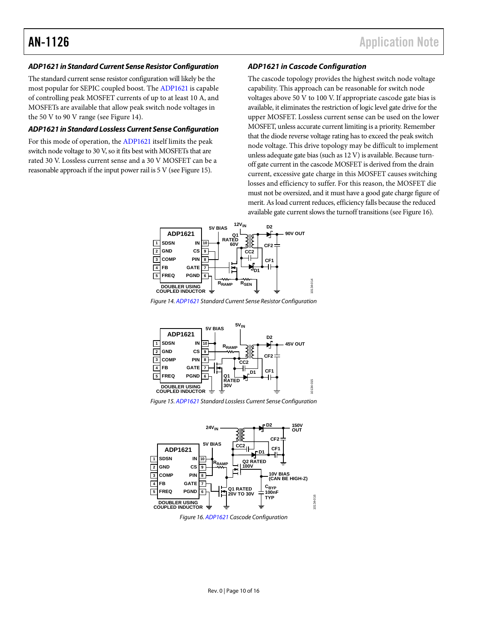#### *ADP1621 in Standard Current Sense Resistor Configuration*

The standard current sense resistor configuration will likely be the most popular for SEPIC coupled boost. Th[e ADP1621](http://www.analog.com/ADP1621) is capable of controlling peak MOSFET currents of up to at least 10 A, and MOSFETs are available that allow peak switch node voltages in the 50 V to 90 V range (se[e Figure 14\)](#page-9-0).

#### *ADP1621 in Standard Lossless Current Sense Configuration*

For this mode of operation, th[e ADP1621](http://www.analog.com/ADP1621) itself limits the peak switch node voltage to 30 V, so it fits best with MOSFETs that are rated 30 V. Lossless current sense and a 30 V MOSFET can be a reasonable approach if the input power rail is 5 V (se[e Figure 15\)](#page-9-1).

#### *ADP1621 in Cascode Configuration*

The cascode topology provides the highest switch node voltage capability. This approach can be reasonable for switch node voltages above 50 V to 100 V. If appropriate cascode gate bias is available, it eliminates the restriction of logic level gate drive for the upper MOSFET. Lossless current sense can be used on the lower MOSFET, unless accurate current limiting is a priority. Remember that the diode reverse voltage rating has to exceed the peak switch node voltage. This drive topology may be difficult to implement unless adequate gate bias (such as 12 V) is available. Because turnoff gate current in the cascode MOSFET is derived from the drain current, excessive gate charge in this MOSFET causes switching losses and efficiency to suffer. For this reason, the MOSFET die must not be oversized, and it must have a good gate charge figure of merit. As load current reduces, efficiency falls because the reduced available gate current slows the turnoff transitions (se[e Figure 16\)](#page-9-2).



<span id="page-9-0"></span>*Figure 14[. ADP1621](http://www.analog.com/ADP1621) Standard Current Sense Resistor Configuration*



<span id="page-9-1"></span>

<span id="page-9-2"></span>

*Figure 16[. ADP1621](http://www.analog.com/ADP1621) Cascode Configuration*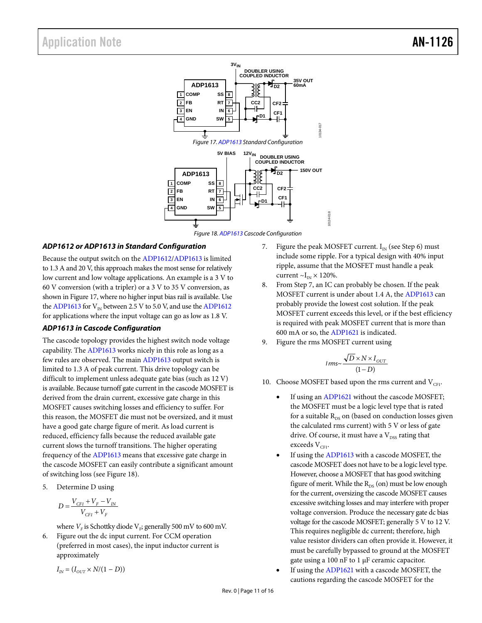

#### <span id="page-10-0"></span>*ADP1612 or ADP1613 in Standard Configuration*

Because the output switch on the [ADP1612](http://www.analog.com/ADP1612)[/ADP1613](http://www.analog.com/ADP1613) is limited to 1.3 A and 20 V, this approach makes the most sense for relatively low current and low voltage applications. An example is a 3 V to 60 V conversion (with a tripler) or a 3 V to 35 V conversion, as shown in Figure 17, where no higher input bias rail is available. Use th[e ADP1613](http://www.analog.com/ADP1613) for  $V_{IN}$  between 2.5 V to 5.0 V, and use th[e ADP1612](http://www.analog.com/ADP1612) for applications where the input voltage can go as low as 1.8 V.

#### *ADP1613 in Cascode Configuration*

The cascode topology provides the highest switch node voltage capability. Th[e ADP1613](http://www.analog.com/ADP1613) works nicely in this role as long as a few rules are observed. The mai[n ADP1613](http://www.analog.com/ADP1613) output switch is limited to 1.3 A of peak current. This drive topology can be difficult to implement unless adequate gate bias (such as 12 V) is available. Because turnoff gate current in the cascode MOSFET is derived from the drain current, excessive gate charge in this MOSFET causes switching losses and efficiency to suffer. For this reason, the MOSFET die must not be oversized, and it must have a good gate charge figure of merit. As load current is reduced, efficiency falls because the reduced available gate current slows the turnoff transitions. The higher operating frequency of the [ADP1613](http://www.analog.com/ADP1613) means that excessive gate charge in the cascode MOSFET can easily contribute a significant amount of switching loss (se[e Figure 18\)](#page-10-0).

5. Determine D using

$$
D = \frac{V_{CFI} + V_F - V_{IN}}{V_{CFI} + V_F}
$$

where  $V_F$  is Schottky diode  $V_F$ ; generally 500 mV to 600 mV.

6. Figure out the dc input current. For CCM operation (preferred in most cases), the input inductor current is approximately

$$
I_{\rm \scriptscriptstyle IN} \! = (I_{\rm \scriptscriptstyle OUT} \! \times N/(1-D))
$$

- 7. Figure the peak MOSFET current.  $I_{IN}$  (see Step 6) must include some ripple. For a typical design with 40% input ripple, assume that the MOSFET must handle a peak current  $\sim I_{IN} \times 120\%$ .
- 8. From Step 7, an IC can probably be chosen. If the peak MOSFET current is under about 1.4 A, the [ADP1613](http://www.analog.com/ADP1613) can probably provide the lowest cost solution. If the peak MOSFET current exceeds this level, or if the best efficiency is required with peak MOSFET current that is more than 600 mA or so, th[e ADP1621](http://www.analog.com/ADP1621) is indicated.
- 9. Figure the rms MOSFET current using

$$
I\,rms \sim \frac{\sqrt{D} \times N \times I_{OUT}}{(1 - D)}
$$

- 10. Choose MOSFET based upon the rms current and  $V_{\text{CF1}}$ .
	- If using an [ADP1621](http://www.analog.com/ADP1621) without the cascode MOSFET; the MOSFET must be a logic level type that is rated for a suitable  $R_{DS}$  on (based on conduction losses given the calculated rms current) with 5 V or less of gate drive. Of course, it must have a  $V_{\text{DSS}}$  rating that exceeds  $V_{CF1}$ .
	- If using the [ADP1613](http://www.analog.com/ADP1613) with a cascode MOSFET, the cascode MOSFET does not have to be a logic level type. However, choose a MOSFET that has good switching figure of merit. While the  $R_{DS}$  (on) must be low enough for the current, oversizing the cascode MOSFET causes excessive switching losses and may interfere with proper voltage conversion. Produce the necessary gate dc bias voltage for the cascode MOSFET; generally 5 V to 12 V. This requires negligible dc current; therefore, high value resistor dividers can often provide it. However, it must be carefully bypassed to ground at the MOSFET gate using a 100 nF to 1 µF ceramic capacitor.
	- If using the [ADP1621](http://www.analog.com/ADP1621) with a cascode MOSFET, the cautions regarding the cascode MOSFET for the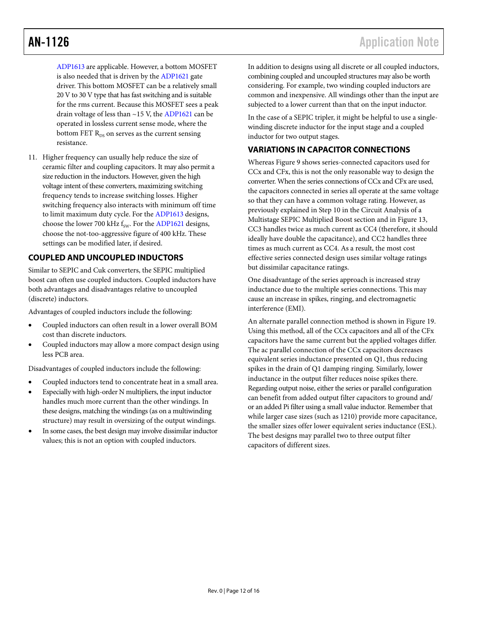[ADP1613](http://www.analog.com/ADP1613) are applicable. However, a bottom MOSFET is also needed that is driven by th[e ADP1621](http://www.analog.com/ADP1621) gate driver. This bottom MOSFET can be a relatively small 20 V to 30 V type that has fast switching and is suitable for the rms current. Because this MOSFET sees a peak drain voltage of less than ~15 V, the [ADP1621](http://www.analog.com/ADP1621) can be operated in lossless current sense mode, where the bottom FET  $R_{DS}$  on serves as the current sensing resistance.

11. Higher frequency can usually help reduce the size of ceramic filter and coupling capacitors. It may also permit a size reduction in the inductors. However, given the high voltage intent of these converters, maximizing switching frequency tends to increase switching losses. Higher switching frequency also interacts with minimum off time to limit maximum duty cycle. For th[e ADP1613](http://www.analog.com/ADP1613) designs, choose the lower 700 kHz  $f_{\text{sw}}$ . For th[e ADP1621](http://www.analog.com/ADP1621) designs, choose the not-too-aggressive figure of 400 kHz. These settings can be modified later, if desired.

#### <span id="page-11-0"></span>**COUPLED AND UNCOUPLED INDUCTORS**

Similar to SEPIC and Cuk converters, the SEPIC multiplied boost can often use coupled inductors. Coupled inductors have both advantages and disadvantages relative to uncoupled (discrete) inductors.

Advantages of coupled inductors include the following:

- Coupled inductors can often result in a lower overall BOM cost than discrete inductors.
- Coupled inductors may allow a more compact design using less PCB area.

Disadvantages of coupled inductors include the following:

- Coupled inductors tend to concentrate heat in a small area.
- Especially with high-order N multipliers, the input inductor handles much more current than the other windings. In these designs, matching the windings (as on a multiwinding structure) may result in oversizing of the output windings.
- In some cases, the best design may involve dissimilar inductor values; this is not an option with coupled inductors.

In addition to designs using all discrete or all coupled inductors, combining coupled and uncoupled structures may also be worth considering. For example, two winding coupled inductors are common and inexpensive. All windings other than the input are subjected to a lower current than that on the input inductor.

In the case of a SEPIC tripler, it might be helpful to use a singlewinding discrete inductor for the input stage and a coupled inductor for two output stages.

#### <span id="page-11-1"></span>**VARIATIONS IN CAPACITOR CONNECTIONS**

Wherea[s Figure 9](#page-6-1) shows series-connected capacitors used for CCx and CFx, this is not the only reasonable way to design the converter. When the series connections of CCx and CFx are used, the capacitors connected in series all operate at the same voltage so that they can have a common voltage rating. However, as previously explained in Step 10 in the Circuit Analysis of a Multistage SEPIC Multiplied Boost section and i[n Figure 13,](#page-8-1) CC3 handles twice as much current as CC4 (therefore, it should ideally have double the capacitance), and CC2 handles three times as much current as CC4. As a result, the most cost effective series connected design uses similar voltage ratings but dissimilar capacitance ratings.

One disadvantage of the series approach is increased stray inductance due to the multiple series connections. This may cause an increase in spikes, ringing, and electromagnetic interference (EMI).

An alternate parallel connection method is shown in [Figure 19.](#page-12-1) Using this method, all of the CCx capacitors and all of the CFx capacitors have the same current but the applied voltages differ. The ac parallel connection of the CCx capacitors decreases equivalent series inductance presented on Q1, thus reducing spikes in the drain of Q1 damping ringing. Similarly, lower inductance in the output filter reduces noise spikes there. Regarding output noise, either the series or parallel configuration can benefit from added output filter capacitors to ground and/ or an added Pi filter using a small value inductor. Remember that while larger case sizes (such as 1210) provide more capacitance, the smaller sizes offer lower equivalent series inductance (ESL). The best designs may parallel two to three output filter capacitors of different sizes.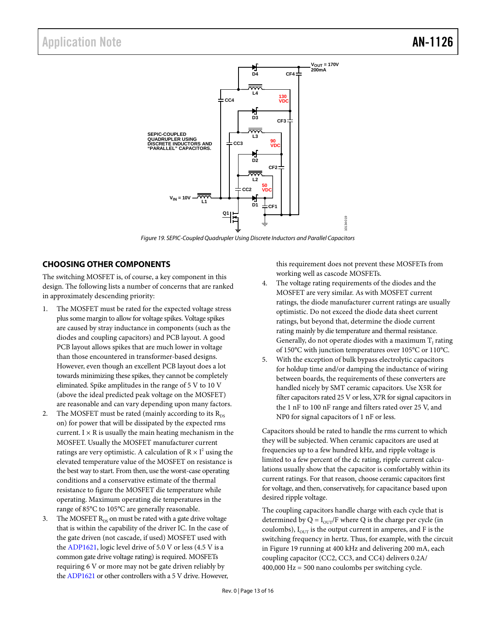

*Figure 19. SEPIC-Coupled Quadrupler Using Discrete Inductors and Parallel Capacitors*

### <span id="page-12-1"></span><span id="page-12-0"></span>**CHOOSING OTHER COMPONENTS**

The switching MOSFET is, of course, a key component in this design. The following lists a number of concerns that are ranked in approximately descending priority:

- The MOSFET must be rated for the expected voltage stress plus some margin to allow for voltage spikes. Voltage spikes are caused by stray inductance in components (such as the diodes and coupling capacitors) and PCB layout. A good PCB layout allows spikes that are much lower in voltage than those encountered in transformer-based designs. However, even though an excellent PCB layout does a lot towards minimizing these spikes, they cannot be completely eliminated. Spike amplitudes in the range of 5 V to 10 V (above the ideal predicted peak voltage on the MOSFET) are reasonable and can vary depending upon many factors.
- 2. The MOSFET must be rated (mainly according to its  $R_{DS}$ on) for power that will be dissipated by the expected rms current.  $I \times R$  is usually the main heating mechanism in the MOSFET. Usually the MOSFET manufacturer current ratings are very optimistic. A calculation of  $R \times I^2$  using the elevated temperature value of the MOSFET on resistance is the best way to start. From then, use the worst-case operating conditions and a conservative estimate of the thermal resistance to figure the MOSFET die temperature while operating. Maximum operating die temperatures in the range of 85°C to 105°C are generally reasonable.
- The MOSFET  $R_{DS}$  on must be rated with a gate drive voltage that is within the capability of the driver IC. In the case of the gate driven (not cascade, if used) MOSFET used with the [ADP1621,](http://www.analog.com/ADP1621) logic level drive of 5.0 V or less (4.5 V is a common gate drive voltage rating) is required. MOSFETs requiring 6 V or more may not be gate driven reliably by th[e ADP1621](http://www.analog.com/ADP1621) or other controllers with a 5 V drive. However,

this requirement does not prevent these MOSFETs from working well as cascode MOSFETs.

- 4. The voltage rating requirements of the diodes and the MOSFET are very similar. As with MOSFET current ratings, the diode manufacturer current ratings are usually optimistic. Do not exceed the diode data sheet current ratings, but beyond that, determine the diode current rating mainly by die temperature and thermal resistance. Generally, do not operate diodes with a maximum  $T_1$  rating of 150°C with junction temperatures over 105°C or 110°C.
- With the exception of bulk bypass electrolytic capacitors for holdup time and/or damping the inductance of wiring between boards, the requirements of these converters are handled nicely by SMT ceramic capacitors. Use X5R for filter capacitors rated 25 V or less, X7R for signal capacitors in the 1 nF to 100 nF range and filters rated over 25 V, and NP0 for signal capacitors of 1 nF or less.

Capacitors should be rated to handle the rms current to which they will be subjected. When ceramic capacitors are used at frequencies up to a few hundred kHz, and ripple voltage is limited to a few percent of the dc rating, ripple current calculations usually show that the capacitor is comfortably within its current ratings. For that reason, choose ceramic capacitors first for voltage, and then, conservatively, for capacitance based upon desired ripple voltage.

The coupling capacitors handle charge with each cycle that is determined by Q =  $I_{\text{OUT}}/F$  where Q is the charge per cycle (in coulombs),  $I_{\text{OUT}}$  is the output current in amperes, and F is the switching frequency in hertz. Thus, for example, with the circuit in [Figure 19](#page-12-1) running at 400 kHz and delivering 200 mA, each coupling capacitor (CC2, CC3, and CC4) delivers 0.2A/ 400,000 Hz = 500 nano coulombs per switching cycle.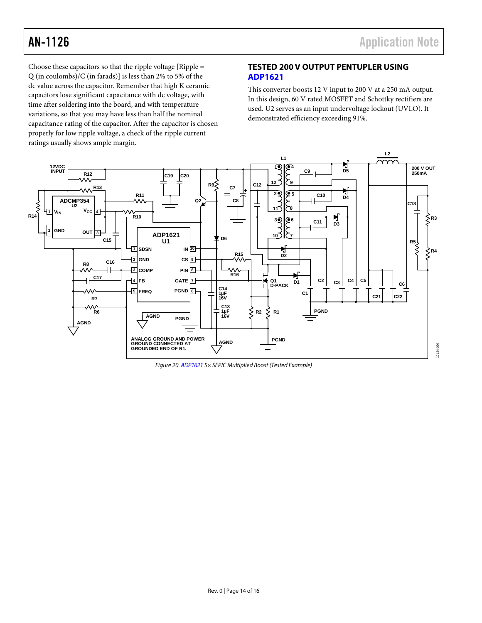Choose these capacitors so that the ripple voltage  $[Ripple =$ Q (in coulombs)/C (in farads)] is less than 2% to 5% of the dc value across the capacitor. Remember that high K ceramic capacitors lose significant capacitance with dc voltage, with time after soldering into the board, and with temperature variations, so that you may have less than half the nominal capacitance rating of the capacitor. After the capacitor is chosen properly for low ripple voltage, a check of the ripple current ratings usually shows ample margin.

### <span id="page-13-0"></span>**TESTED 200 V OUTPUT PENTUPLER USING [ADP1621](http://www.analog.com/ADP1621)**

This converter boosts 12 V input to 200 V at a 250 mA output. In this design, 60 V rated MOSFET and Schottky rectifiers are used. U2 serves as an input undervoltage lockout (UVLO). It demonstrated efficiency exceeding 91%.



*Figure 20[. ADP1621](http://www.analog.com/ADP1621) 5× SEPIC Multiplied Boost (Tested Example)*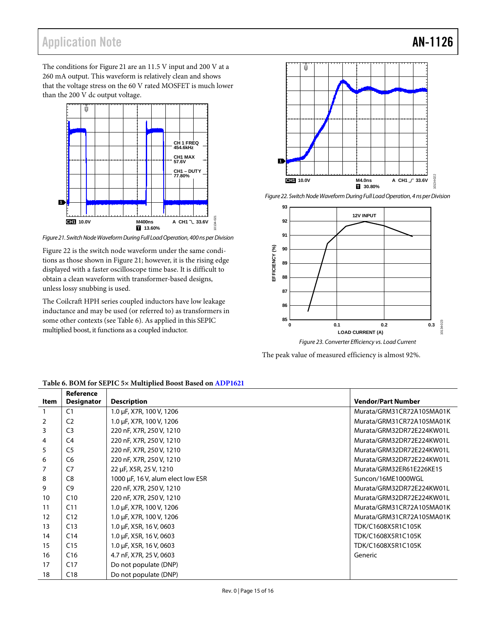## Application Note **AN-1126**

The conditions fo[r Figure 21](#page-14-0) are an 11.5 V input and 200 V at a 260 mA output. This waveform is relatively clean and shows that the voltage stress on the 60 V rated MOSFET is much lower than the 200 V dc output voltage.



<span id="page-14-0"></span>*Figure 21. Switch Node Waveform During Full Load Operation, 400 ns per Division*

[Figure 22](#page-14-1) is the switch node waveform under the same conditions as those shown i[n Figure 21;](#page-14-0) however, it is the rising edge displayed with a faster oscilloscope time base. It is difficult to obtain a clean waveform with transformer-based designs, unless lossy snubbing is used.

The Coilcraft HPH series coupled inductors have low leakage inductance and may be used (or referred to) as transformers in some other contexts (se[e Table 6\)](#page-14-2). As applied in this SEPIC multiplied boost, it functions as a coupled inductor.



<span id="page-14-1"></span>*Figure 22. Switch Node Waveform During Full Load Operation, 4 ns per Division*



The peak value of measured efficiency is almost 92%.

|      | Reference         |                                   |                           |
|------|-------------------|-----------------------------------|---------------------------|
| Item | <b>Designator</b> | <b>Description</b>                | <b>Vendor/Part Number</b> |
|      | C <sub>1</sub>    | 1.0 µF, X7R, 100 V, 1206          | Murata/GRM31CR72A105MA01K |
| 2    | C <sub>2</sub>    | 1.0 µF, X7R, 100 V, 1206          | Murata/GRM31CR72A105MA01K |
| 3    | C <sub>3</sub>    | 220 nF, X7R, 250 V, 1210          | Murata/GRM32DR72E224KW01L |
| 4    | C4                | 220 nF, X7R, 250 V, 1210          | Murata/GRM32DR72E224KW01L |
| 5    | C <sub>5</sub>    | 220 nF, X7R, 250 V, 1210          | Murata/GRM32DR72E224KW01L |
| 6    | C <sub>6</sub>    | 220 nF, X7R, 250 V, 1210          | Murata/GRM32DR72E224KW01L |
|      | C7                | 22 µF, X5R, 25 V, 1210            | Murata/GRM32ER61E226KE15  |
| 8    | C <sub>8</sub>    | 1000 µF, 16 V, alum elect low ESR | Suncon/16ME1000WGL        |
| 9    | C9                | 220 nF, X7R, 250 V, 1210          | Murata/GRM32DR72E224KW01L |
| 10   | C10               | 220 nF, X7R, 250 V, 1210          | Murata/GRM32DR72E224KW01L |
| 11   | C <sub>11</sub>   | 1.0 µF, X7R, 100 V, 1206          | Murata/GRM31CR72A105MA01K |
| 12   | C12               | 1.0 µF, X7R, 100 V, 1206          | Murata/GRM31CR72A105MA01K |
| 13   | C13               | 1.0 µF, X5R, 16 V, 0603           | TDK/C1608X5R1C105K        |
| 14   | C14               | 1.0 µF, X5R, 16 V, 0603           | TDK/C1608X5R1C105K        |
| 15   | C <sub>15</sub>   | 1.0 µF, X5R, 16 V, 0603           | TDK/C1608X5R1C105K        |
| 16   | C16               | 4.7 nF, X7R, 25 V, 0603           | Generic                   |
| 17   | C17               | Do not populate (DNP)             |                           |
| 18   | C18               | Do not populate (DNP)             |                           |

#### <span id="page-14-2"></span>**Table 6. BOM for SEPIC 5× Multiplied Boost Based o[n ADP1621](http://www.analog.com/ADP1621)**